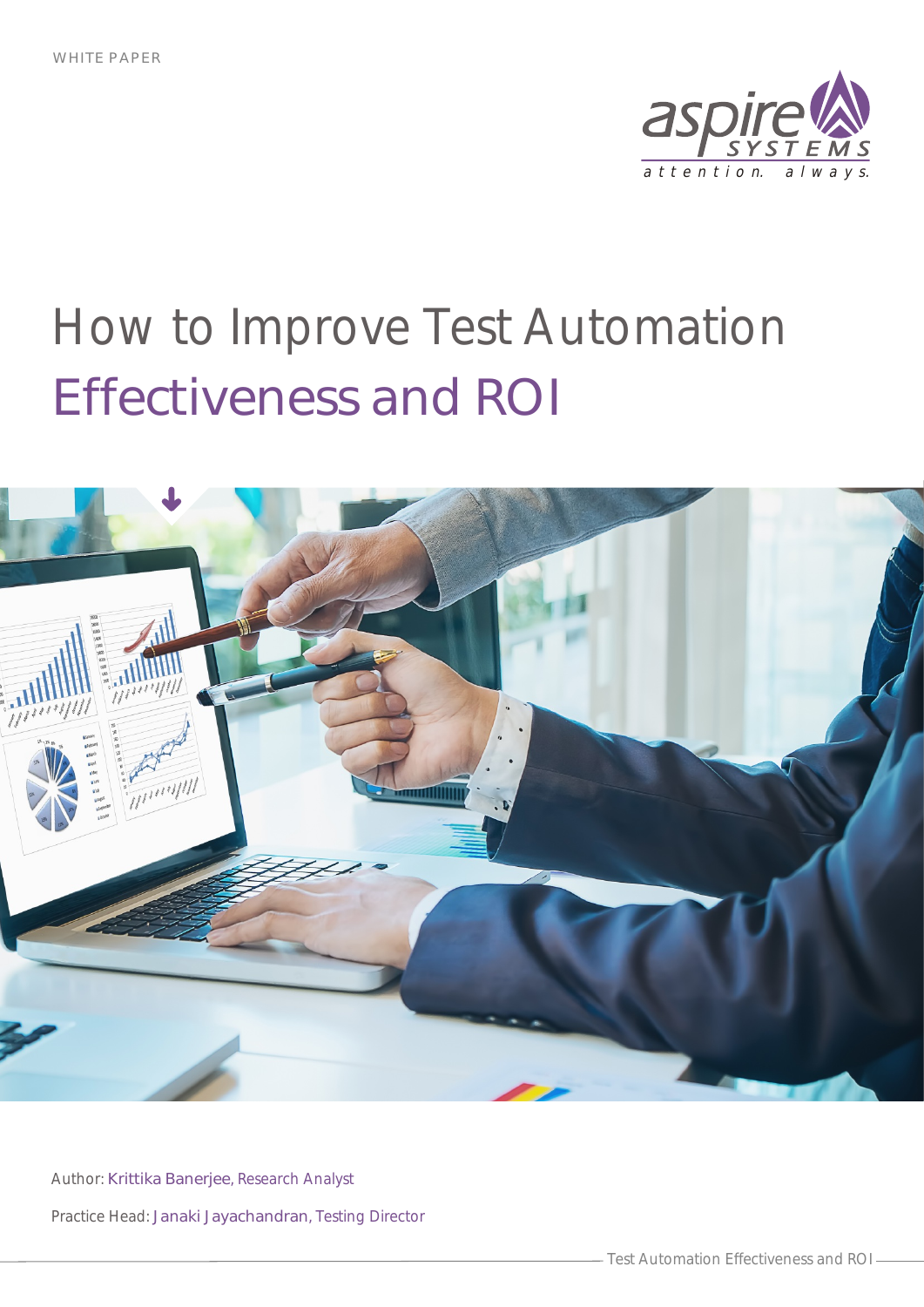



Author: Krittika Banerjee, Research Analyst Practice Head: Janaki Jayachandran, Testing Director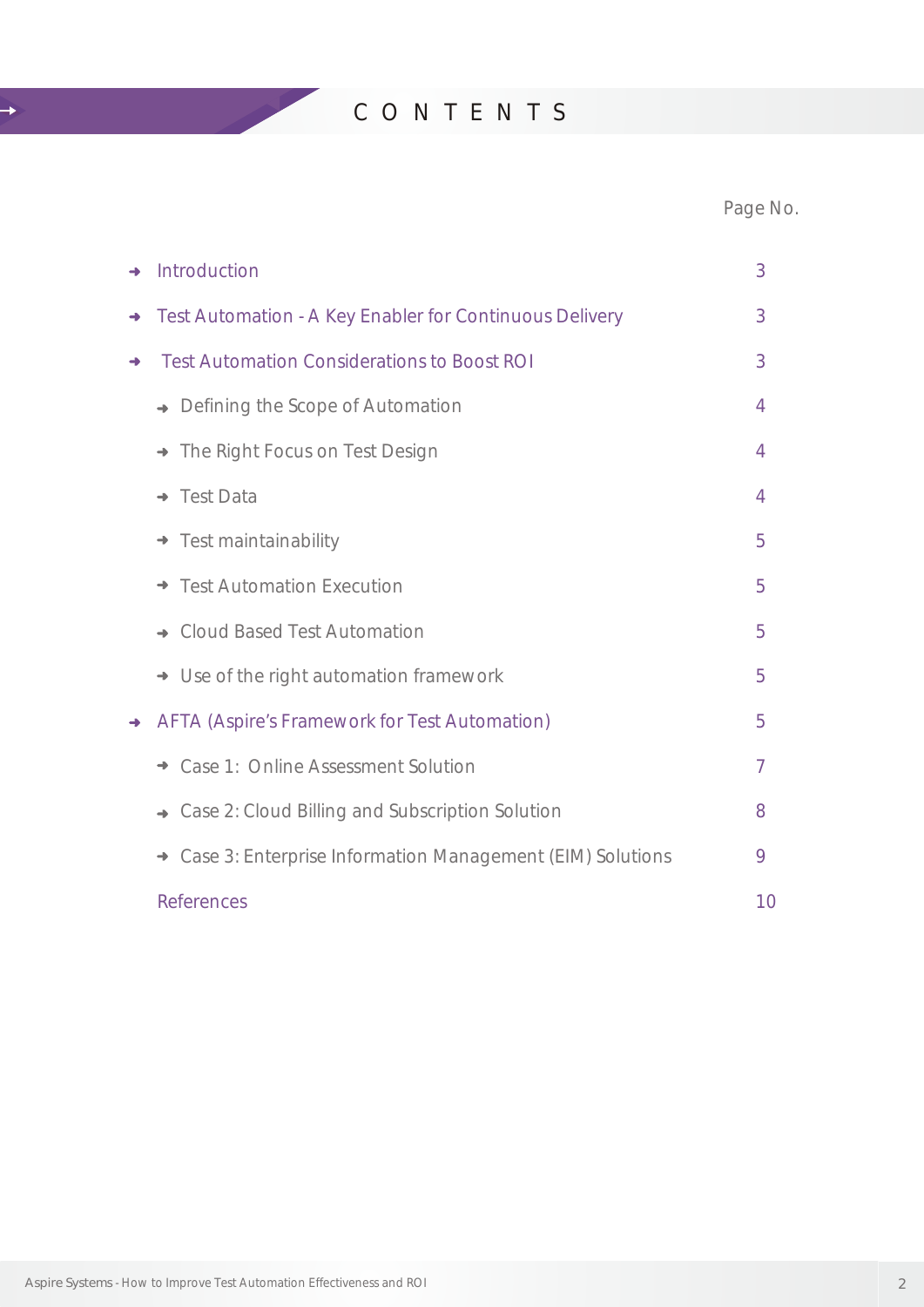C O N T E N T S

 $\rightarrow$ 

### Page No.

| $\rightarrow$ | Introduction                                                               | 3  |
|---------------|----------------------------------------------------------------------------|----|
| →             | Test Automation - A Key Enabler for Continuous Delivery                    | 3  |
| →             | <b>Test Automation Considerations to Boost ROI</b>                         | 3  |
|               | Defining the Scope of Automation<br>$\rightarrow$                          | 4  |
|               | The Right Focus on Test Design<br>$\rightarrow$                            | 4  |
|               | <b>Test Data</b>                                                           | 4  |
|               | Test maintainability                                                       | 5  |
|               | <b>Test Automation Execution</b><br>$\rightarrow$                          | 5  |
|               | <b>Cloud Based Test Automation</b><br>$\rightarrow$                        | 5  |
|               | Use of the right automation framework<br>$\rightarrow$                     | 5  |
| $\rightarrow$ | <b>AFTA (Aspire's Framework for Test Automation)</b>                       | 5  |
|               | Case 1: Online Assessment Solution<br>→                                    | 7  |
|               | Case 2: Cloud Billing and Subscription Solution<br>$\rightarrow$           | 8  |
|               | Case 3: Enterprise Information Management (EIM) Solutions<br>$\rightarrow$ | 9  |
|               | <b>References</b>                                                          | 10 |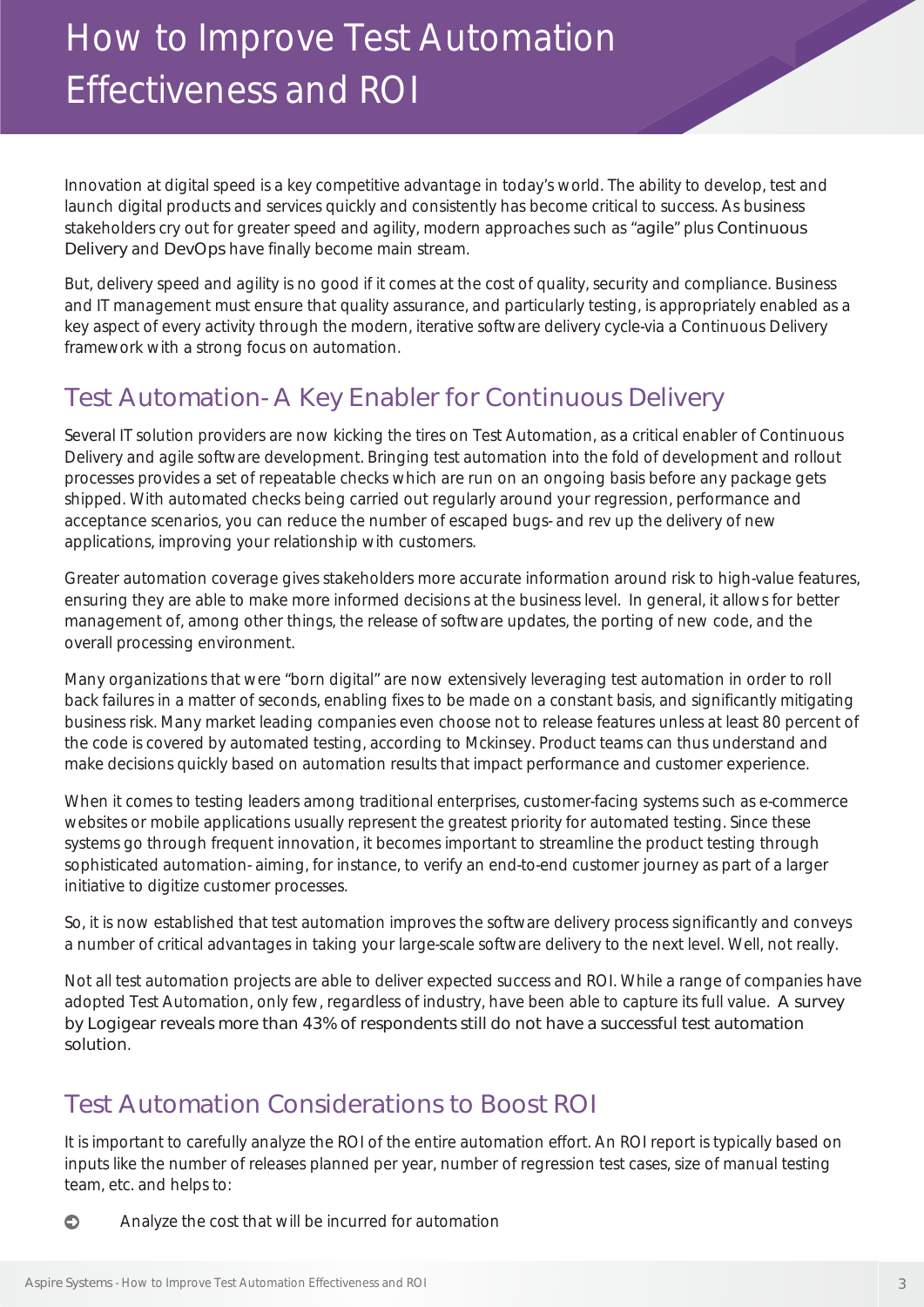Innovation at digital speed is a key competitive advantage in today's world. The ability to develop, test and launch digital products and services quickly and consistently has become critical to success. As business stakeholders cry out for greater speed and agility, modern approaches such as "agile" plus Continuous Delivery and DevOps have finally become main stream.

But, delivery speed and agility is no good if it comes at the cost of quality, security and compliance. Business and IT management must ensure that quality assurance, and particularly testing, is appropriately enabled as a key aspect of every activity through the modern, iterative software delivery cycle-via a Continuous Delivery framework with a strong focus on automation.

### Test Automation- A Key Enabler for Continuous Delivery

Several IT solution providers are now kicking the tires on Test Automation, as a critical enabler of Continuous Delivery and agile software development. Bringing test automation into the fold of development and rollout processes provides a set of repeatable checks which are run on an ongoing basis before any package gets shipped. With automated checks being carried out regularly around your regression, performance and acceptance scenarios, you can reduce the number of escaped bugs- and rev up the delivery of new applications, improving your relationship with customers.

Greater automation coverage gives stakeholders more accurate information around risk to high-value features, ensuring they are able to make more informed decisions at the business level. In general, it allows for better management of, among other things, the release of software updates, the porting of new code, and the overall processing environment.

Many organizations that were "born digital" are now extensively leveraging test automation in order to roll back failures in a matter of seconds, enabling fixes to be made on a constant basis, and significantly mitigating business risk. Many market leading companies even choose not to release features unless at least 80 percent of the code is covered by automated testing, according to Mckinsey. Product teams can thus understand and make decisions quickly based on automation results that impact performance and customer experience.

When it comes to testing leaders among traditional enterprises, customer-facing systems such as e-commerce websites or mobile applications usually represent the greatest priority for automated testing. Since these systems go through frequent innovation, it becomes important to streamline the product testing through sophisticated automation- aiming, for instance, to verify an end-to-end customer journey as part of a larger initiative to digitize customer processes.

So, it is now established that test automation improves the software delivery process significantly and conveys a number of critical advantages in taking your large-scale software delivery to the next level. Well, not really.

Not all test automation projects are able to deliver expected success and ROI. While a range of companies have adopted Test Automation, only few, regardless of industry, have been able to capture its full value. A survey by Logigear reveals more than 43% of respondents still do not have a successful test automation solution.

### Test Automation Considerations to Boost ROI

It is important to carefully analyze the ROI of the entire automation effort. An ROI report is typically based on inputs like the number of releases planned per year, number of regression test cases, size of manual testing team, etc. and helps to:

 $\bullet$ Analyze the cost that will be incurred for automation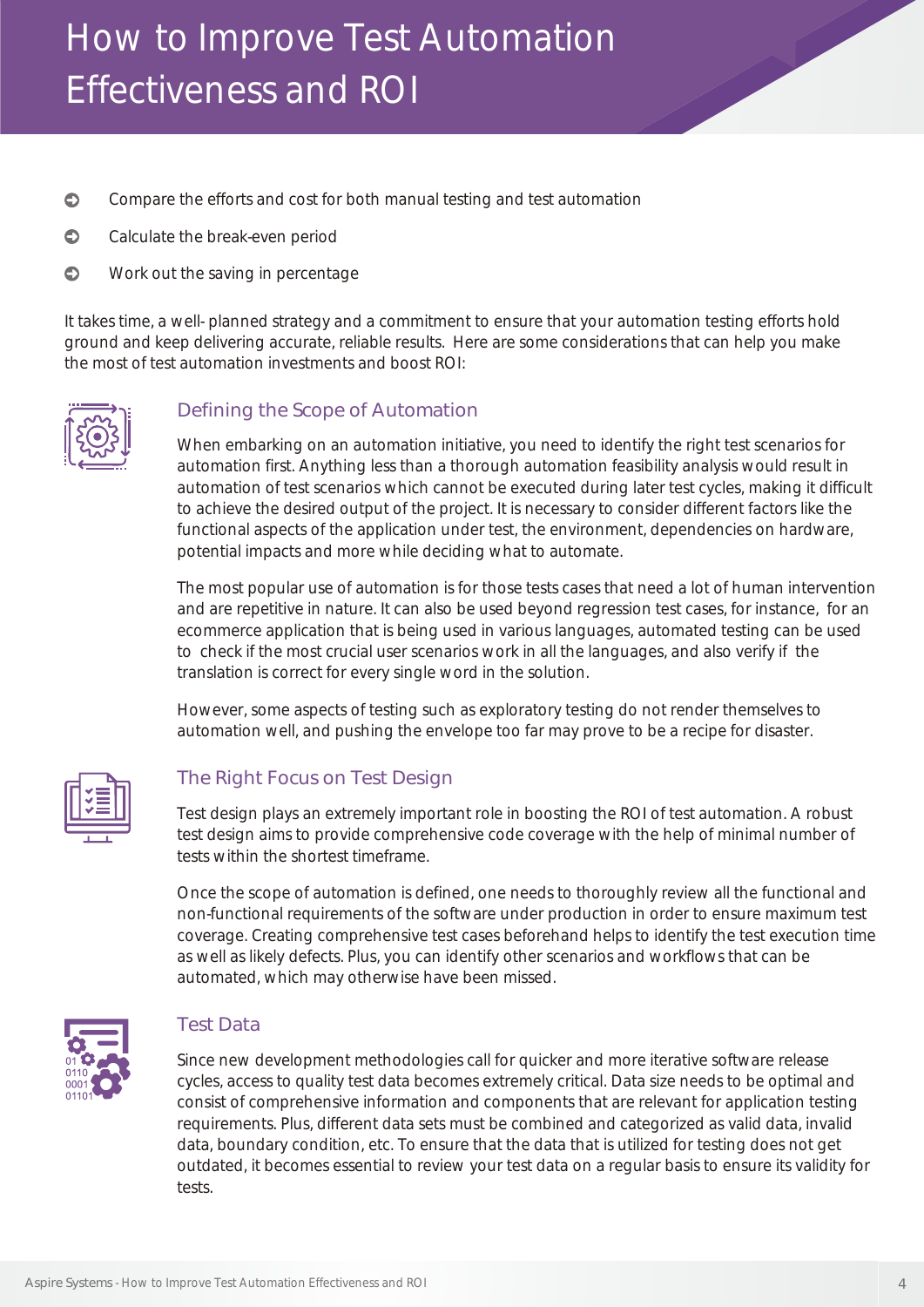- $\bullet$ Compare the efforts and cost for both manual testing and test automation
- $\bullet$ Calculate the break-even period
- $\bullet$ Work out the saving in percentage

It takes time, a well- planned strategy and a commitment to ensure that your automation testing efforts hold ground and keep delivering accurate, reliable results. Here are some considerations that can help you make the most of test automation investments and boost ROI:



#### Defining the Scope of Automation

When embarking on an automation initiative, you need to identify the right test scenarios for automation first. Anything less than a thorough automation feasibility analysis would result in automation of test scenarios which cannot be executed during later test cycles, making it difficult to achieve the desired output of the project. It is necessary to consider different factors like the functional aspects of the application under test, the environment, dependencies on hardware, potential impacts and more while deciding what to automate.

The most popular use of automation is for those tests cases that need a lot of human intervention and are repetitive in nature. It can also be used beyond regression test cases, for instance, for an ecommerce application that is being used in various languages, automated testing can be used to check if the most crucial user scenarios work in all the languages, and also verify if the translation is correct for every single word in the solution.

However, some aspects of testing such as exploratory testing do not render themselves to automation well, and pushing the envelope too far may prove to be a recipe for disaster.



#### The Right Focus on Test Design

Test design plays an extremely important role in boosting the ROI of test automation. A robust test design aims to provide comprehensive code coverage with the help of minimal number of tests within the shortest timeframe.

Once the scope of automation is defined, one needs to thoroughly review all the functional and non-functional requirements of the software under production in order to ensure maximum test coverage. Creating comprehensive test cases beforehand helps to identify the test execution time as well as likely defects. Plus, you can identify other scenarios and workflows that can be automated, which may otherwise have been missed.



#### Test Data

Since new development methodologies call for quicker and more iterative software release cycles, access to quality test data becomes extremely critical. Data size needs to be optimal and consist of comprehensive information and components that are relevant for application testing requirements. Plus, different data sets must be combined and categorized as valid data, invalid data, boundary condition, etc. To ensure that the data that is utilized for testing does not get outdated, it becomes essential to review your test data on a regular basis to ensure its validity for tests.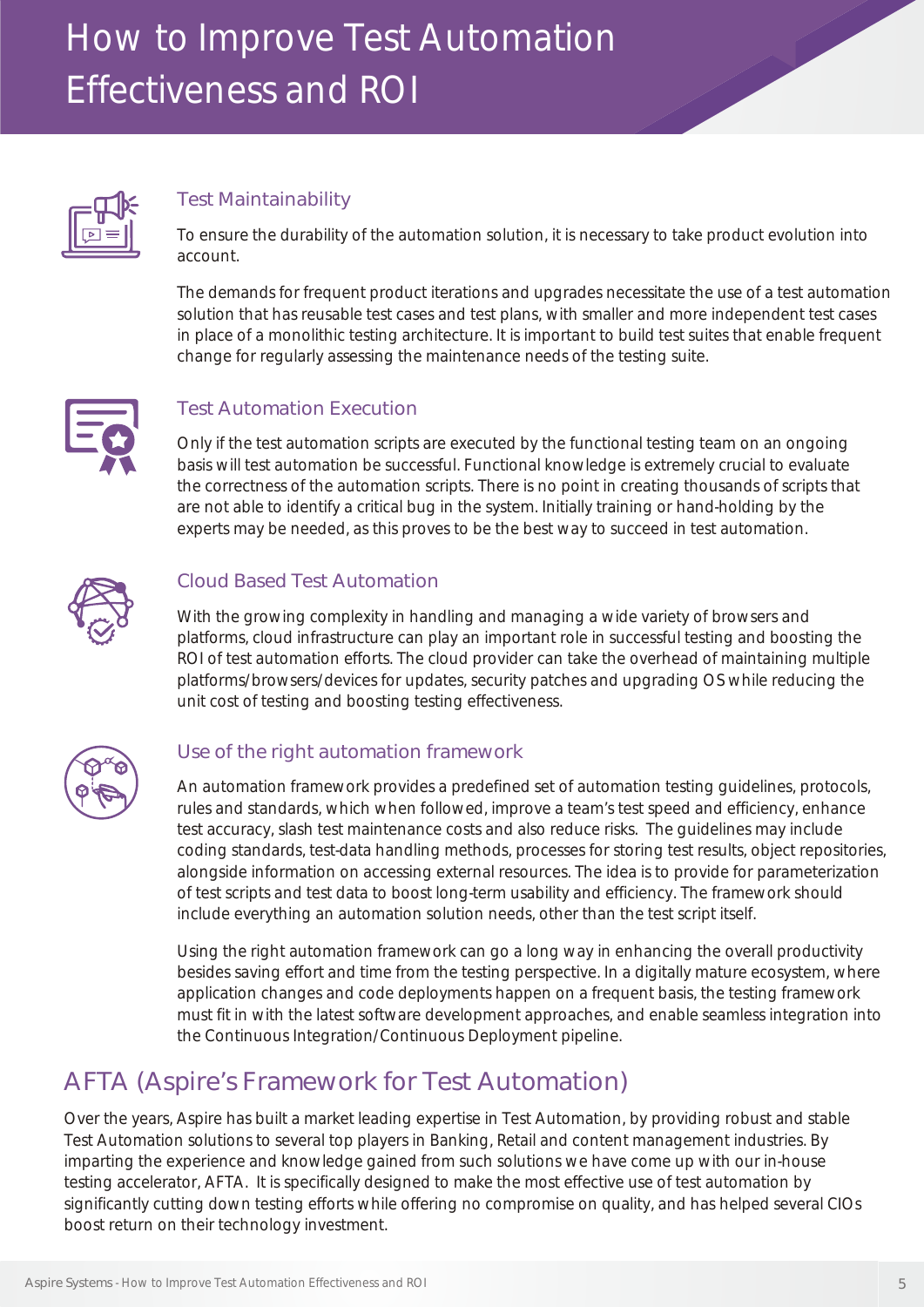

#### Test Maintainability

To ensure the durability of the automation solution, it is necessary to take product evolution into account.

The demands for frequent product iterations and upgrades necessitate the use of a test automation solution that has reusable test cases and test plans, with smaller and more independent test cases in place of a monolithic testing architecture. It is important to build test suites that enable frequent change for regularly assessing the maintenance needs of the testing suite.



#### Test Automation Execution

Only if the test automation scripts are executed by the functional testing team on an ongoing basis will test automation be successful. Functional knowledge is extremely crucial to evaluate the correctness of the automation scripts. There is no point in creating thousands of scripts that are not able to identify a critical bug in the system. Initially training or hand-holding by the experts may be needed, as this proves to be the best way to succeed in test automation.



#### Cloud Based Test Automation

With the growing complexity in handling and managing a wide variety of browsers and platforms, cloud infrastructure can play an important role in successful testing and boosting the ROI of test automation efforts. The cloud provider can take the overhead of maintaining multiple platforms/browsers/devices for updates, security patches and upgrading OS while reducing the unit cost of testing and boosting testing effectiveness.



#### Use of the right automation framework

An automation framework provides a predefined set of automation testing guidelines, protocols, rules and standards, which when followed, improve a team's test speed and efficiency, enhance test accuracy, slash test maintenance costs and also reduce risks. The guidelines may include coding standards, test-data handling methods, processes for storing test results, object repositories, alongside information on accessing external resources. The idea is to provide for parameterization of test scripts and test data to boost long-term usability and efficiency. The framework should include everything an automation solution needs, other than the test script itself.

Using the right automation framework can go a long way in enhancing the overall productivity besides saving effort and time from the testing perspective. In a digitally mature ecosystem, where application changes and code deployments happen on a frequent basis, the testing framework must fit in with the latest software development approaches, and enable seamless integration into the Continuous Integration/Continuous Deployment pipeline.

### AFTA (Aspire's Framework for Test Automation)

Over the years, Aspire has built a market leading expertise in Test Automation, by providing robust and stable Test Automation solutions to several top players in Banking, Retail and content management industries. By imparting the experience and knowledge gained from such solutions we have come up with our in-house testing accelerator, AFTA. It is specifically designed to make the most effective use of test automation by significantly cutting down testing efforts while offering no compromise on quality, and has helped several CIOs boost return on their technology investment.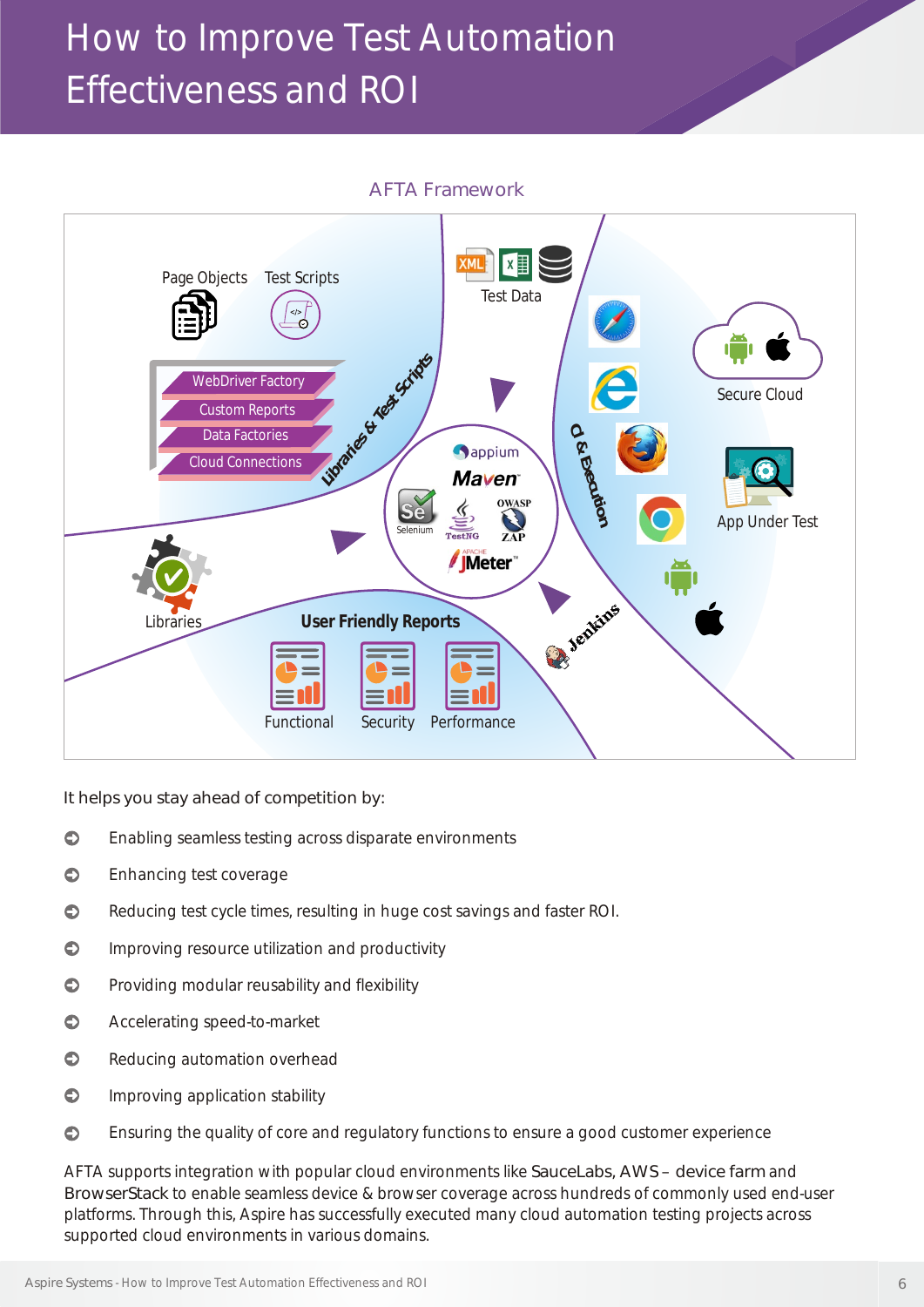

It helps you stay ahead of competition by:

- $\bullet$ Enabling seamless testing across disparate environments
- $\bullet$ Enhancing test coverage
- $\bullet$ Reducing test cycle times, resulting in huge cost savings and faster ROI.
- $\bullet$ Improving resource utilization and productivity
- $\bullet$ Providing modular reusability and flexibility
- $\bullet$ Accelerating speed-to-market
- $\bullet$ Reducing automation overhead
- $\bullet$ Improving application stability
- $\bullet$ Ensuring the quality of core and regulatory functions to ensure a good customer experience

AFTA supports integration with popular cloud environments like SauceLabs, AWS – device farm and BrowserStack to enable seamless device & browser coverage across hundreds of commonly used end-user platforms. Through this, Aspire has successfully executed many cloud automation testing projects across supported cloud environments in various domains.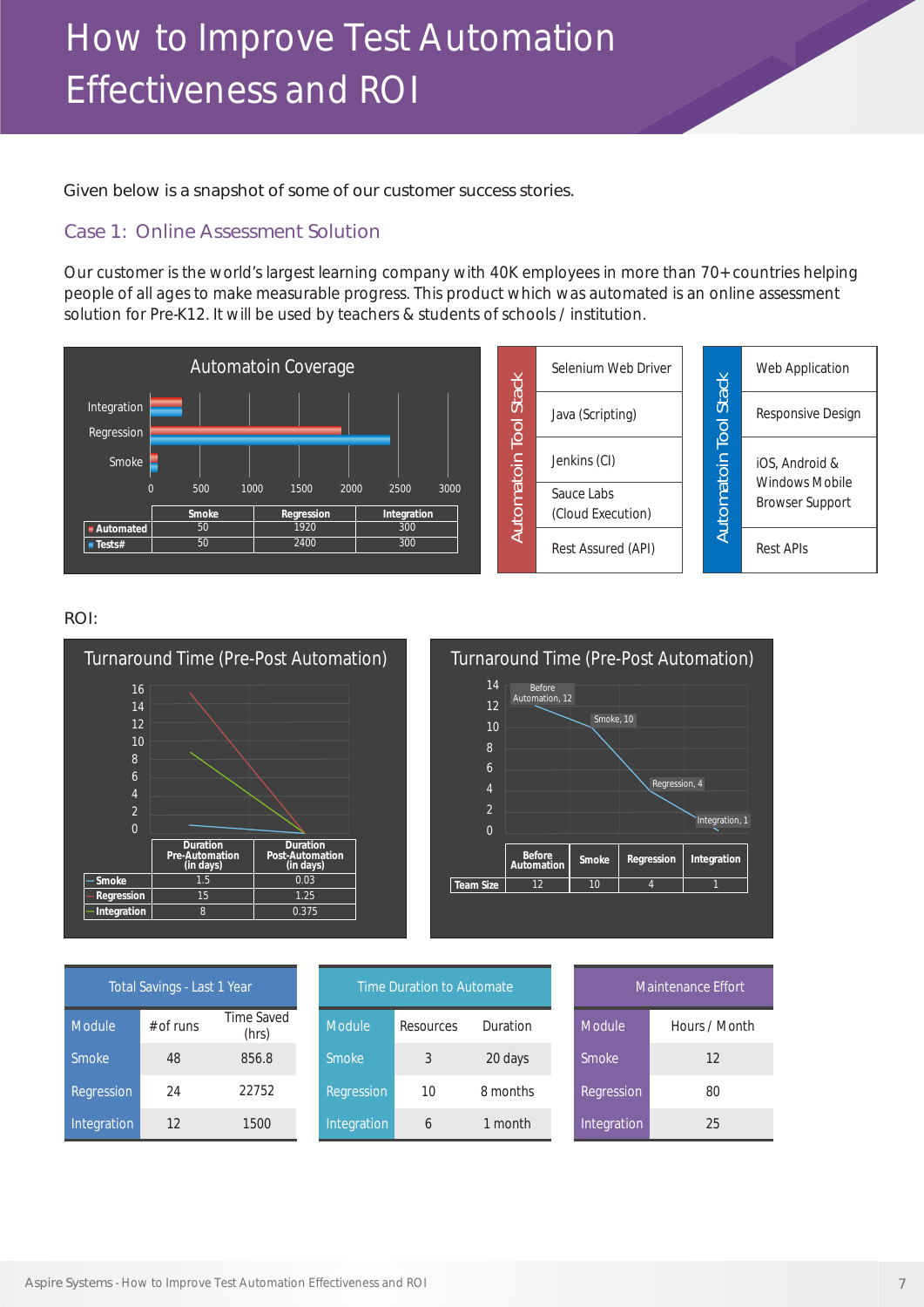Given below is a snapshot of some of our customer success stories.

#### Case 1: Online Assessment Solution

Our customer is the world's largest learning company with 40K employees in more than 70+ countries helping people of all ages to make measurable progress. This product which was automated is an online assessment solution for Pre-K12. It will be used by teachers & students of schools / institution.



#### ROI:





| Total Savings - Last 1 Year |             |                     |  |  |  |  |
|-----------------------------|-------------|---------------------|--|--|--|--|
| Module                      | $#$ of runs | Time Saved<br>(hrs) |  |  |  |  |
| <b>Smoke</b>                | 48          | 856.8               |  |  |  |  |
| Regression                  | 24          | 22752               |  |  |  |  |
| Integration                 | 12          | 1500                |  |  |  |  |

| Time Duration to Automate |           |          |  |  |  |  |
|---------------------------|-----------|----------|--|--|--|--|
| Module                    | Resources | Duration |  |  |  |  |
| <b>Smoke</b>              | 3         | 20 days  |  |  |  |  |
| Regression                | 10        | 8 months |  |  |  |  |
| Integration               |           | 1 month  |  |  |  |  |

| Maintenance Effort |               |  |  |  |  |
|--------------------|---------------|--|--|--|--|
| Module             | Hours / Month |  |  |  |  |
| Smoke              | 12            |  |  |  |  |
| Regression         | 80            |  |  |  |  |
| Integration        | 25            |  |  |  |  |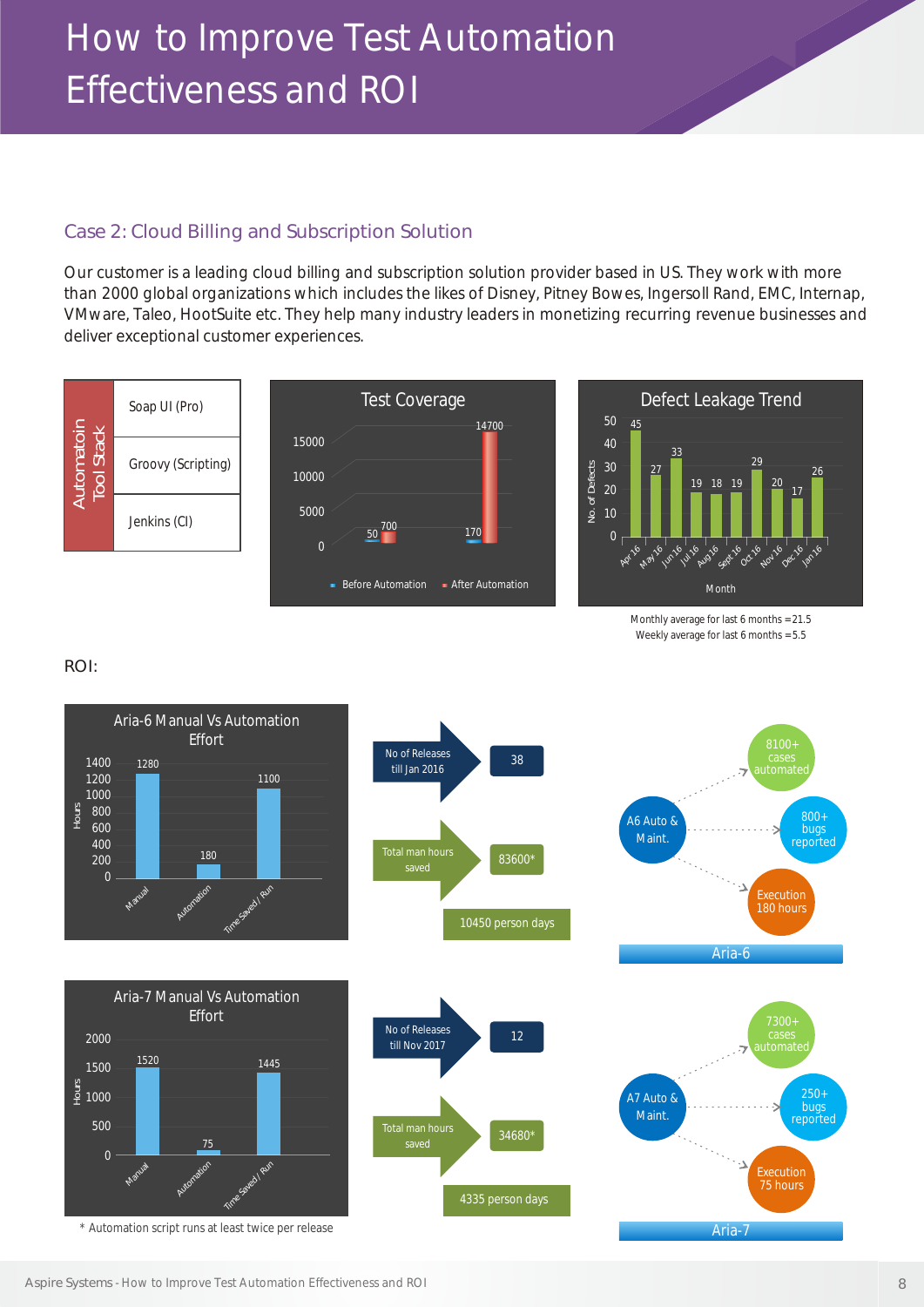#### Case 2: Cloud Billing and Subscription Solution

Our customer is a leading cloud billing and subscription solution provider based in US. They work with more than 2000 global organizations which includes the likes of Disney, Pitney Bowes, Ingersoll Rand, EMC, Internap, VMware, Taleo, HootSuite etc. They help many industry leaders in monetizing recurring revenue businesses and deliver exceptional customer experiences.



Monthly average for last 6 months = 21.5 Weekly average for last 6 months = 5.5

ROI:

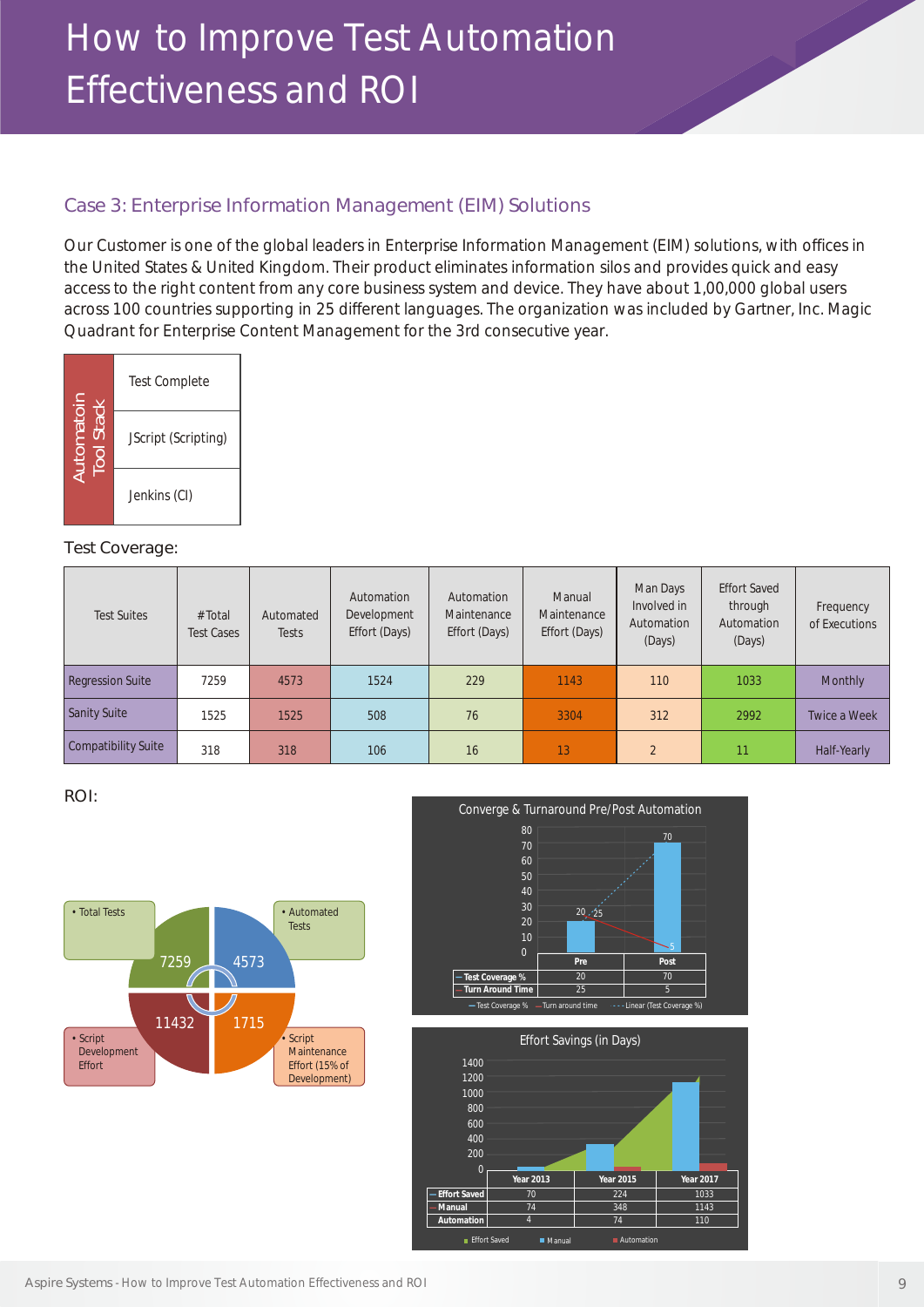#### Case 3: Enterprise Information Management (EIM) Solutions

Our Customer is one of the global leaders in Enterprise Information Management (EIM) solutions, with offices in the United States & United Kingdom. Their product eliminates information silos and provides quick and easy access to the right content from any core business system and device. They have about 1,00,000 global users across 100 countries supporting in 25 different languages. The organization was included by Gartner, Inc. Magic Quadrant for Enterprise Content Management for the 3rd consecutive year.



#### Test Coverage:

| Automatoin<br>Tool Stack                                                              |                    | JScript (Scripting)          |                    |                                            |                                            |                                        |                                                 |                                                        |                            |
|---------------------------------------------------------------------------------------|--------------------|------------------------------|--------------------|--------------------------------------------|--------------------------------------------|----------------------------------------|-------------------------------------------------|--------------------------------------------------------|----------------------------|
|                                                                                       | Jenkins (CI)       |                              |                    |                                            |                                            |                                        |                                                 |                                                        |                            |
| Test Coverage:                                                                        |                    |                              |                    |                                            |                                            |                                        |                                                 |                                                        |                            |
|                                                                                       | <b>Test Suites</b> | # Total<br><b>Test Cases</b> | Automated<br>Tests | Automation<br>Development<br>Effort (Days) | Automation<br>Maintenance<br>Effort (Days) | Manual<br>Maintenance<br>Effort (Days) | Man Days<br>Involved in<br>Automation<br>(Days) | <b>Effort Saved</b><br>through<br>Automation<br>(Days) | Frequency<br>of Executions |
| <b>Regression Suite</b>                                                               |                    | 7259                         | 4573               | 1524                                       | 229                                        | 1143                                   | 110                                             | 1033                                                   | Monthly                    |
| <b>Sanity Suite</b>                                                                   |                    | 1525                         | 1525               | 508                                        | 76                                         | 3304                                   | 312                                             | 2992                                                   | Twice a Week               |
| <b>Compatibility Suite</b>                                                            |                    | 318                          | 318                | 106                                        | 16                                         | 13                                     | $\overline{2}$                                  | 11                                                     | Half-Yearly                |
| ROI:<br>Converge & Turnaround Pre/Post Automation<br>80<br>70<br>70<br>60<br>50<br>40 |                    |                              |                    |                                            |                                            |                                        |                                                 |                                                        |                            |
| • Total Tests                                                                         |                    |                              | • Automated        |                                            |                                            | 30<br>20.725                           |                                                 |                                                        |                            |

#### ROI: